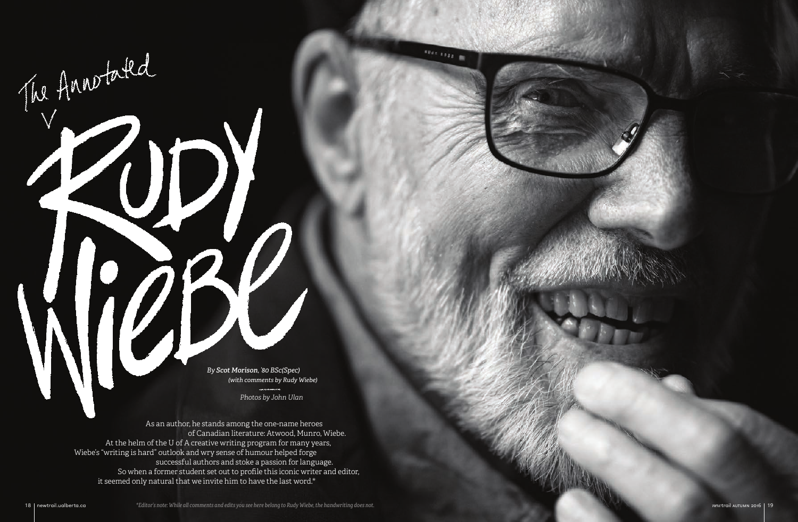As an author, he stands among the one‑name heroes of Canadian literature: Atwood, Munro, Wiebe. At the helm of the U of A creative writing program for many years, Wiebe's "writing is hard" outlook and wry sense of humour helped forge successful authors and stoke a passion for language. So when a former student set out to profile this iconic writer and editor, it seemed only natural that we invite him to have the last word.\*

The Annotated

*Photos by John Ulan*

*\*Editor's note: While all comments and edits you see here belong to Rudy Wiebe, the handwriting does not.* 18 newtrail.ualberta.ca *new*trail autumn 2016 19



*By Scot Morison, '80 BSc(Spec) (with comments by Rudy Wiebe)*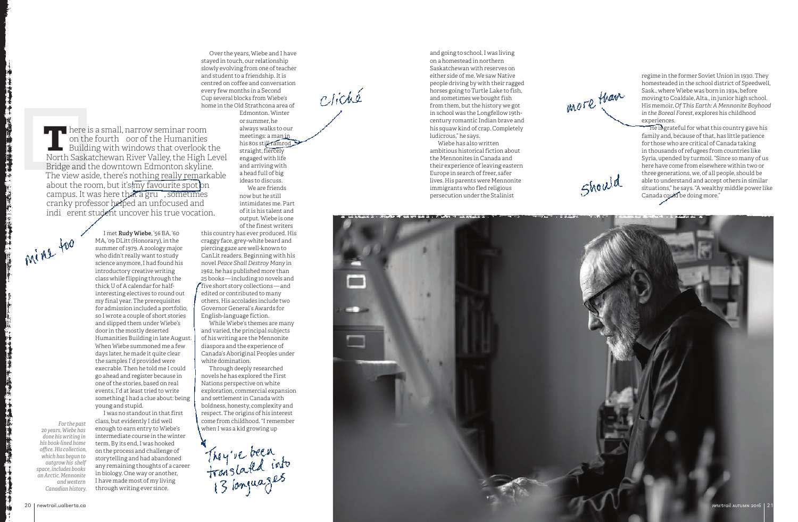Over the years, Wiebe and I have stayed in touch, our relationship slowly evolving from one of teacher and student to a friendship. It is centred on coffee and conversation every few months in a Second Cup several blocks from Wiebe's home in the Old Strathcona area of

> Edmonton. Winter or summer, he always walks to our meetings: a man in his 80s still ramrod straight, fiercely engaged with life and arriving with a head full of big ideas to discuss. We are friends now but he still intimidates me. Part of it is his talent and output. Wiebe is one of the finest writers

this country has ever produced. His craggy face, grey -white beard and piercing gaze are well -known to CanLit readers. Beginning with his novel *Peace Shall Destroy Many* in 1962, he has published more than 25 books — including 10 novels and five short story collections — and edited or contributed to many others. His accolades include two Governor General's Awards for English -language fiction.

While Wiebe's themes are many and varied, the principal subjects of his writing are the Mennonite diaspora and the experience of Canada's Aboriginal Peoples under white domination.

Through deeply researched novels he has explored the First Nations perspective on white exploration, commercial expansion and settlement in Canada with boldness, honesty, complexity and respect. The origins of his interest come from childhood. "I remember when I was a kid growing up

They've been<br>translated into

# cliché

He is grateful for what this country gave his family and, because of that, has little patience for those who are critical of Canada taking in thousands of refugees from countries like Syria, upended by turmoil. "Since so many of us here have come from elsewhere within two or three generations, we, of all people, should be able to understand and accept others in similar situations," he says. "A wealthy middle power like Canada could be doing more."

I met **Rudy Wiebe**, '56 BA, '60 MA, '09 DLitt (Honorary), in the summer of 1979. A zoology major who didn't really want to study science anymore, I had found his introductory creative writing class while flipping through the thick U of A calendar for halfinteresting electives to round out my final year. The prerequisites for admission included a portfolio, so I wrote a couple of short stories and slipped them under Wiebe's door in the mostly deserted Humanities Building in late August. When Wiebe summoned me a few days later, he made it quite clear the samples I'd provided were execrable. Then he told me I could go ahead and register because in one of the stories, based on real events, I'd at least tried to write something I had a clue about: being young and stupid.

I was no standout in that first class, but evidently I did well enough to earn entry to Wiebe's intermediate course in the winter term. By its end, I was hooked on the process and challenge of storytelling and had abandoned any remaining thoughts of a career in biology. One way or another, I have made most of my living through writing ever since.

and going to school, I was living on a homestead in northern Saskatchewan with reserves on either side of me. We saw Native people driving by with their ragged horses going to Turtle Lake to fish, and sometimes we bought fish from them, but the history we got in school was the Longfellow 19th century romantic Indian brave and his squaw kind of crap. Completely ludicrous," he says. Wiebe has also written

ambitious historical fiction about the Mennonites in Canada and their experience of leaving eastern Europe in search of freer, safer lives. His parents were Mennonite immigrants who fled religious persecution under the Stalinist





regime in the former Soviet Union in 1930. They homesteaded in the school district of Speedwell, Sask., where Wiebe was born in 1934, before moving to Coaldale, Alta., in junior high school. His memoir, *Of This Earth: A Mennonite Boyhood in the Boreal Forest*, explores his childhood experiences.

**T**here is a small, narrow seminar room on the fourth oor of the Humanities Building with windows that overlook the North Saskatchewan River Valley, the High Level Bridge and the downtown Edmonton skyline. The view aside, there's nothing really remarkable about the room, but it's  $\overline{\text{mv}}$  favourite spot on campus. It was here that a gru , sometimes cranky professor helped an unfocused and indi erent student uncover his true vocation.

Mine too

*For the past 20 years, Wiebe has* 

*done his writing in his book‑lined home office. His collection, which has begun to outgrow his shelf space, includes books on Arctic, Mennonite and western Canadian history.*

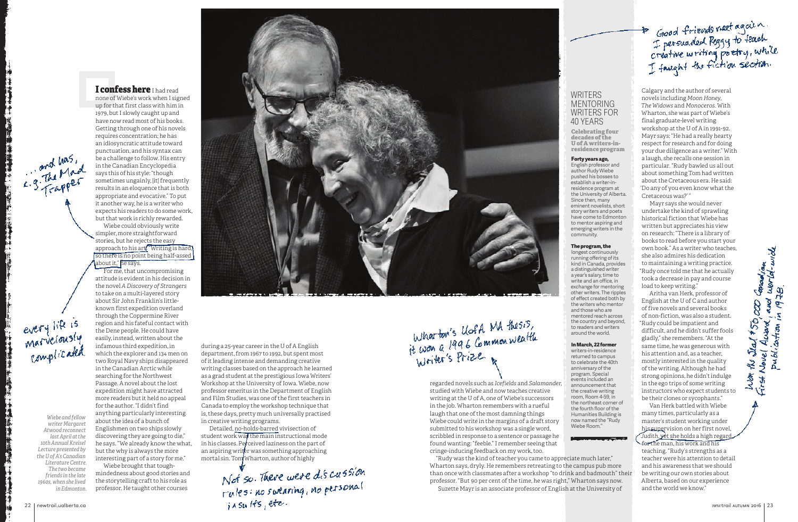regarded novels such as *Icefields* and *Salamander*, studied with Wiebe and now teaches creative writing at the U of A, one of Wiebe's successors in the job. Wharton remembers with a rueful laugh that one of the most damning things Wiebe could write in the margins of a draft story submitted to his workshop was a single word, scribbled in response to a sentence or passage he found wanting: "feeble." I remember seeing that cringe-inducing feedback on my work, too.

"Rudy was the kind of teacher you came to appreciate much later," Wharton says, dryly. He remembers retreating to the campus pub more than once with classmates after a workshop "to drink and badmouth" their professor. "But 90 per cent of the time, he was right," Wharton says now. Suzette Mayr is an associate professor of English at the University of

1979, but I slowly caught up and

requires concentration; he has

in the Canadian Encyclopedia says this of his style: "though



# **WRITERS MENTORING** WRITERS FOR 40 YEARS

Wiebe could obviously write simpler, more straightforward stories, but he rejects the easy

about it," he says.

to take on a multi-layered story about Sir John Franklin's little-

> Detailed, no-holds-barred vivisection of student work was the main instructional mode in his classes. Perceived laziness on the part of an aspiring writer was something approaching mortal sin. Tom Wharton, author of highly

known first expedition overland through the Coppermine River region and his fateful contact with the Dene people. He could have easily, instead, written about the infamous third expedition, in which the explorer and 134 men on two Royal Navy ships disappeared in the Canadian Arctic while searching for the Northwest Passage. A novel about the lost expedition might have attracted more readers but it held no appeal for the author. "I didn't find anything particularly interesting about the idea of a bunch of Englishmen on two ships slowly discovering they are going to die," he says. "We already know the what, but the why is always the more interesting part of a story for me."

I confess here I had read

Wiebe brought that toughmindedness about good stories and the storytelling craft to his role as professor. He taught other courses

**Celebrating four decades of the U of A writers-inresidence program**

## Forty years ago,

English professor and author Rudy Wiebe pushed his bosses to .<br>establish a writer-inresidence program at the University of Alberta. Since then, many eminent novelists, short story writers and poets have come to Edmonton to mentor aspiring and emerging writers in the community.

# The program, the

longest continuously running offering of its kind in Canada, provides a distinguished writer a year's salary, time to write and an office, in exchange for mentoring other writers. The ripples of effect created both by the writers who mentor and those who are mentored reach across the country and beyond, to readers and writers around the world.

Not so. There were dis cussion rules: no suearing, no personal 22 newtrail.ualberta.ca *new*trail autumn 2016 23



# In March, 22 former

writers-in-residence returned to campus to celebrate the 40th anniversary of the program. Special events included an announcement that the creative writing room, Room 4-59, in the northeast corner of the fourth floor of the Humanities Building is now named the "Rudy Wiebe Room."

# De Good friends meet again.<br>I persuaded Peggy to teach<br>Creative writing poetry, while<br>I faught the fiction section.

during a 25-year career in the U of A English department, from 1967 to 1992, but spent most of it leading intense and demanding creative writing classes based on the approach he learned as a grad student at the prestigious Iowa Writers' Workshop at the University of Iowa. Wiebe, now professor emeritus in the Department of English and Film Studies, was one of the first teachers in Canada to employ the workshop technique that is, these days, pretty much universally practised in creative writing programs.

Calgary and the author of several novels including *Moon Honey*, *The Widows* and *Monoceros*. With Wharton, she was part of Wiebe's final graduate-level writing workshop at the U of A in 1991-92. Mayr says: "He had a really hearty respect for research and for doing your due diligence as a writer." With a laugh, she recalls one session in particular. "Rudy bawled us all out about something Tom had written about the Cretaceous era. He said: 'Do any of you even know what the Cretaceous was?' "

Mayr says she would never undertake the kind of sprawling historical fiction that Wiebe has written but appreciates his view on research: "There is a library of books to read before you start your own book." As a writer who teaches, she also admires his dedication to maintaining a writing practice. "Rudy once told me that he actually took a decrease in pay and course load to keep writing."

Aritha van Herk, professor of English at the U of C and author of five novels and several books of non-fiction, was also a student. "Rudy could be impatient and difficult, and he didn't suffer fools gladly," she remembers. "At the same time, he was generous with his attention and, as a teacher, mostly interested in the quality of the writing. Although he had strong opinions, he didn't indulge in the ego trips of some writing instructors who expect students to be their clones or sycophants."

Van Herk battled with Wiebe many times, particularly as a master's student working under his supervision on her first novel, *Judith*, yet she holds a high regard for the man, his work and his teaching. "Rudy's strengths as a teacher were his attention to detail and his awareness that we should be writing our own stories about Alberta, based on our experience

and the world we know."

**Leto** Gra

and  $\beta$ 

Award

Novel

 $\frac{f}{f}$   $\frac{f}{f}$   $\frac{f}{f}$ 

List

publication in 1978<br>Publication in 1978



*Wiebe and fellow writer Margaret Atwood reconnect last April at the 10th Annual Kreisel Lecture presented by the U of A's Canadian Literature Centre. The two became friends in the late 1960s, when she lived in Edmonton.*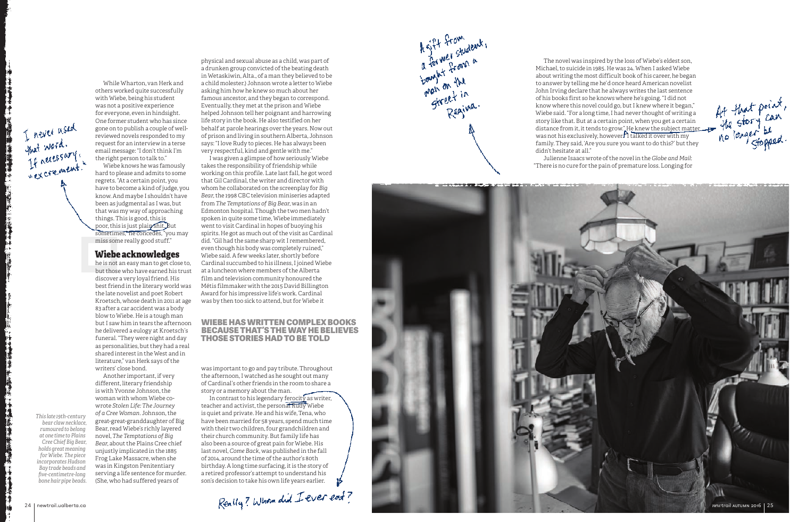While Wharton, van Herk and others worked quite successfully with Wiebe, being his student was not a positive experience for everyone, even in hindsight. One former student who has since gone on to publish a couple of well reviewed novels responded to my request for an interview in a terse email message: "I don't think I'm the right person to talk to."

Wiebe knows he was famously hard to please and admits to some regrets. "At a certain point, you have to become a kind of judge, you know. And maybe I shouldn't have been as judgmental as I was, but that was my way of approaching things. This is good, this is poor, this is just plain shit. But sometimes," he concedes, "you may miss some really good stuff."

# Wiebe acknowledges

he is not an easy man to get close to, but those who have earned his trust discover a very loyal friend. His best friend in the literary world was the late novelist and poet Robert Kroetsch, whose death in 2011 at age 83 after a car accident was a body blow to Wiebe. He is a tough man but I saw him in tears the afternoon he delivered a eulogy at Kroetsch's funeral. "They were night and day as personalities, but they had a real shared interest in the West and in literature," van Herk says of the writers' close bond.

Another important, if very different, literary friendship is with Yvonne Johnson, the woman with whom Wiebe co wrote *Stolen Life: The Journey of a Cree Woman*. Johnson, the great-great-granddaughter of Big Bear, read Wiebe's richly layered novel, *The Temptations of Big Bear*, about the Plains Cree chief unjustly implicated in the 1885 Frog Lake Massacre, when she was in Kingston Penitentiary serving a life sentence for murder. (She, who had suffered years of

In contrast to his legendary ferocity as writer, teacher and activist, the personal Rudy Wiebe is quiet and private. He and his wife, Tena, who have been married for 58 years, spend much time with their two children, four grandchildren and their church community. But family life has also been a source of great pain for Wiebe. His last novel, *Come Back*, was published in the fall of 2014, around the time of the author's 80th birthday. A long time surfacing, it is the story of a retired professor's attempt to understand his son's decision to take his own life years earlier.



physical and sexual abuse as a child, was part of a drunken group convicted of the beating death in Wetaskiwin, Alta., of a man they believed to be a child molester.) Johnson wrote a letter to Wiebe asking him how he knew so much about her famous ancestor, and they began to correspond. Eventually, they met at the prison and Wiebe helped Johnson tell her poignant and harrowing life story in the book. He also testified on her behalf at parole hearings over the years. Now out of prison and living in southern Alberta, Johnson says: "I love Rudy to pieces. He has always been very respectful, kind and gentle with me."

I was given a glimpse of how seriously Wiebe takes the responsibility of friendship while working on this profile. Late last fall, he got word that Gil Cardinal, the writer and director with whom he collaborated on the screenplay for *Big Bear*, the 1998 CBC television miniseries adapted from *The Temptations of Big Bear*, was in an Edmonton hospital. Though the two men hadn't spoken in quite some time, Wiebe immediately went to visit Cardinal in hopes of buoying his spirits. He got as much out of the visit as Cardinal did. "Gil had the same sharp wit I remembered, even though his body was completely ruined," Wiebe said. A few weeks later, shortly before Cardinal succumbed to his illness, I joined Wiebe at a luncheon where members of the Alberta film and television community honoured the Métis filmmaker with the 2015 David Billington Award for his impressive life's work. Cardinal was by then too sick to attend, but for Wiebe it

was important to go and pay tribute. Throughout the afternoon, I watched as he sought out many of Cardinal's other friends in the room to share a story or a memory about the man.

# WIEBE HAS WRITTEN COMPLEX BOOKS BECAUSE THAT'S THE WAY HE BELIEVES THOSE STORIES HAD TO BE TOLD

The novel was inspired by the loss of Wiebe's eldest son, Michael, to suicide in 1985. He was 24. When I asked Wiebe about writing the most difficult book of his career, he began to answer by telling me he'd once heard American novelist John Irving declare that he always writes the last sentence of his books first so he knows where he's going. "I did not know where this novel could go, but I knew where it began," Wiebe said. "For a long time, I had never thought of writing a story like that. But at a certain point, when you get a certain distance from it, it tends to grow." He knew the subject ma<u>tter</u> was not his exclusively, however. "I talked it over with my family. They said, 'Are you sure you want to do this?' but they didn't hesitate at all."

Julienne Isaacs wrote of the novel in the *Globe and Mail*: "There is no cure for the pain of premature loss. Longing for

*This late 19th -century bear claw necklace, rumoured to belong at one time to Plains Cree Chief Big Bear, holds great meaning for Wiebe. The piece incorporates Hudson Bay trade beads and five -centimetre -long bone hair pipe beads.*

I never used<br>that word.<br>If necessary!

粗